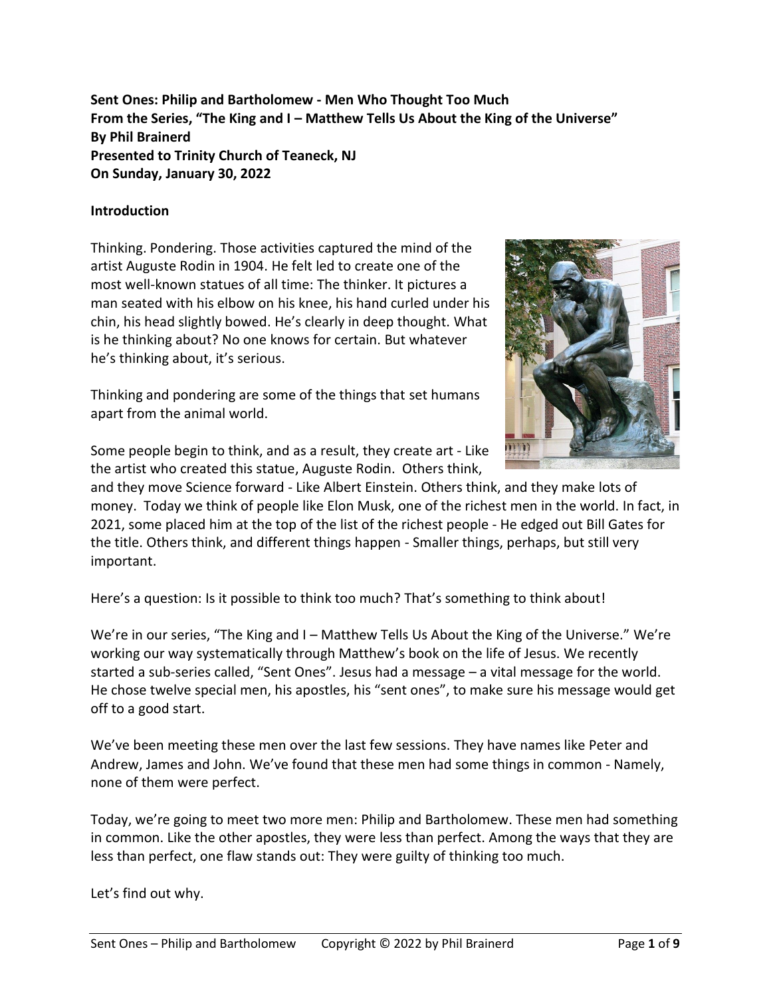**Sent Ones: Philip and Bartholomew - Men Who Thought Too Much From the Series, "The King and I – Matthew Tells Us About the King of the Universe" By Phil Brainerd Presented to Trinity Church of Teaneck, NJ On Sunday, January 30, 2022**

#### **Introduction**

Thinking. Pondering. Those activities captured the mind of the artist Auguste Rodin in 1904. He felt led to create one of the most well-known statues of all time: The thinker. It pictures a man seated with his elbow on his knee, his hand curled under his chin, his head slightly bowed. He's clearly in deep thought. What is he thinking about? No one knows for certain. But whatever he's thinking about, it's serious.

Thinking and pondering are some of the things that set humans apart from the animal world.

Some people begin to think, and as a result, they create art - Like the artist who created this statue, Auguste Rodin. Others think,



and they move Science forward - Like Albert Einstein. Others think, and they make lots of money. Today we think of people like Elon Musk, one of the richest men in the world. In fact, in 2021, some placed him at the top of the list of the richest people - He edged out Bill Gates for the title. Others think, and different things happen - Smaller things, perhaps, but still very important.

Here's a question: Is it possible to think too much? That's something to think about!

We're in our series, "The King and I – Matthew Tells Us About the King of the Universe." We're working our way systematically through Matthew's book on the life of Jesus. We recently started a sub-series called, "Sent Ones". Jesus had a message – a vital message for the world. He chose twelve special men, his apostles, his "sent ones", to make sure his message would get off to a good start.

We've been meeting these men over the last few sessions. They have names like Peter and Andrew, James and John. We've found that these men had some things in common - Namely, none of them were perfect.

Today, we're going to meet two more men: Philip and Bartholomew. These men had something in common. Like the other apostles, they were less than perfect. Among the ways that they are less than perfect, one flaw stands out: They were guilty of thinking too much.

Let's find out why.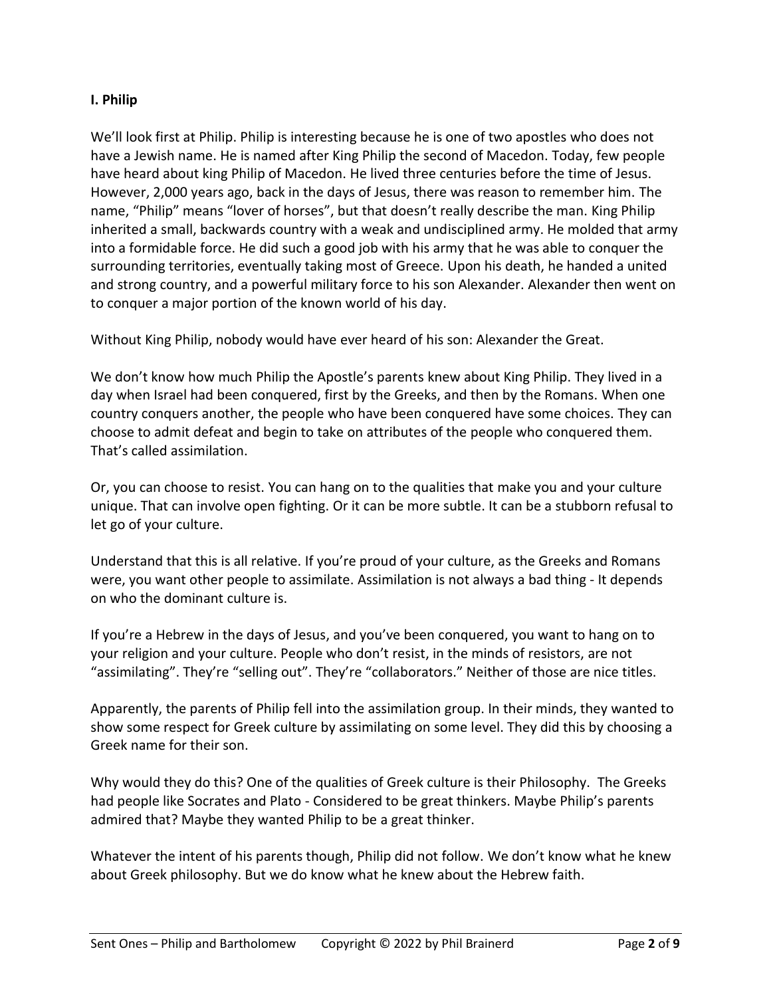#### **I. Philip**

We'll look first at Philip. Philip is interesting because he is one of two apostles who does not have a Jewish name. He is named after King Philip the second of Macedon. Today, few people have heard about king Philip of Macedon. He lived three centuries before the time of Jesus. However, 2,000 years ago, back in the days of Jesus, there was reason to remember him. The name, "Philip" means "lover of horses", but that doesn't really describe the man. King Philip inherited a small, backwards country with a weak and undisciplined army. He molded that army into a formidable force. He did such a good job with his army that he was able to conquer the surrounding territories, eventually taking most of Greece. Upon his death, he handed a united and strong country, and a powerful military force to his son Alexander. Alexander then went on to conquer a major portion of the known world of his day.

Without King Philip, nobody would have ever heard of his son: Alexander the Great.

We don't know how much Philip the Apostle's parents knew about King Philip. They lived in a day when Israel had been conquered, first by the Greeks, and then by the Romans. When one country conquers another, the people who have been conquered have some choices. They can choose to admit defeat and begin to take on attributes of the people who conquered them. That's called assimilation.

Or, you can choose to resist. You can hang on to the qualities that make you and your culture unique. That can involve open fighting. Or it can be more subtle. It can be a stubborn refusal to let go of your culture.

Understand that this is all relative. If you're proud of your culture, as the Greeks and Romans were, you want other people to assimilate. Assimilation is not always a bad thing - It depends on who the dominant culture is.

If you're a Hebrew in the days of Jesus, and you've been conquered, you want to hang on to your religion and your culture. People who don't resist, in the minds of resistors, are not "assimilating". They're "selling out". They're "collaborators." Neither of those are nice titles.

Apparently, the parents of Philip fell into the assimilation group. In their minds, they wanted to show some respect for Greek culture by assimilating on some level. They did this by choosing a Greek name for their son.

Why would they do this? One of the qualities of Greek culture is their Philosophy. The Greeks had people like Socrates and Plato - Considered to be great thinkers. Maybe Philip's parents admired that? Maybe they wanted Philip to be a great thinker.

Whatever the intent of his parents though, Philip did not follow. We don't know what he knew about Greek philosophy. But we do know what he knew about the Hebrew faith.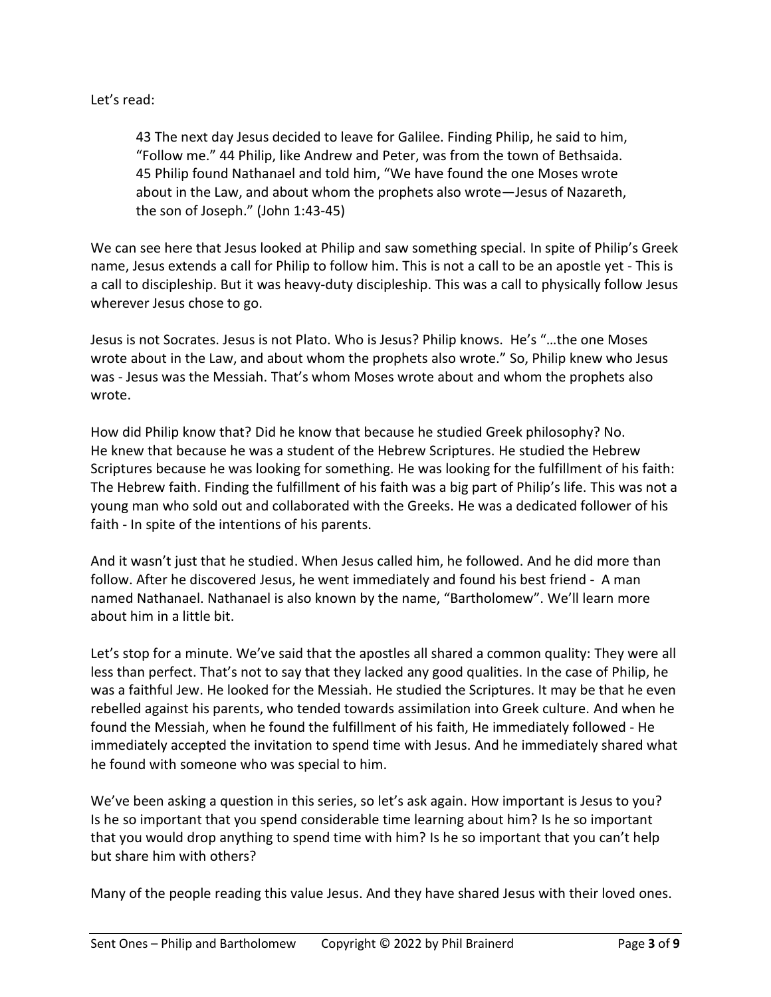## Let's read:

43 The next day Jesus decided to leave for Galilee. Finding Philip, he said to him, "Follow me." 44 Philip, like Andrew and Peter, was from the town of Bethsaida. 45 Philip found Nathanael and told him, "We have found the one Moses wrote about in the Law, and about whom the prophets also wrote—Jesus of Nazareth, the son of Joseph." (John 1:43-45)

We can see here that Jesus looked at Philip and saw something special. In spite of Philip's Greek name, Jesus extends a call for Philip to follow him. This is not a call to be an apostle yet - This is a call to discipleship. But it was heavy-duty discipleship. This was a call to physically follow Jesus wherever Jesus chose to go.

Jesus is not Socrates. Jesus is not Plato. Who is Jesus? Philip knows. He's "…the one Moses wrote about in the Law, and about whom the prophets also wrote." So, Philip knew who Jesus was - Jesus was the Messiah. That's whom Moses wrote about and whom the prophets also wrote.

How did Philip know that? Did he know that because he studied Greek philosophy? No. He knew that because he was a student of the Hebrew Scriptures. He studied the Hebrew Scriptures because he was looking for something. He was looking for the fulfillment of his faith: The Hebrew faith. Finding the fulfillment of his faith was a big part of Philip's life. This was not a young man who sold out and collaborated with the Greeks. He was a dedicated follower of his faith - In spite of the intentions of his parents.

And it wasn't just that he studied. When Jesus called him, he followed. And he did more than follow. After he discovered Jesus, he went immediately and found his best friend - A man named Nathanael. Nathanael is also known by the name, "Bartholomew". We'll learn more about him in a little bit.

Let's stop for a minute. We've said that the apostles all shared a common quality: They were all less than perfect. That's not to say that they lacked any good qualities. In the case of Philip, he was a faithful Jew. He looked for the Messiah. He studied the Scriptures. It may be that he even rebelled against his parents, who tended towards assimilation into Greek culture. And when he found the Messiah, when he found the fulfillment of his faith, He immediately followed - He immediately accepted the invitation to spend time with Jesus. And he immediately shared what he found with someone who was special to him.

We've been asking a question in this series, so let's ask again. How important is Jesus to you? Is he so important that you spend considerable time learning about him? Is he so important that you would drop anything to spend time with him? Is he so important that you can't help but share him with others?

Many of the people reading this value Jesus. And they have shared Jesus with their loved ones.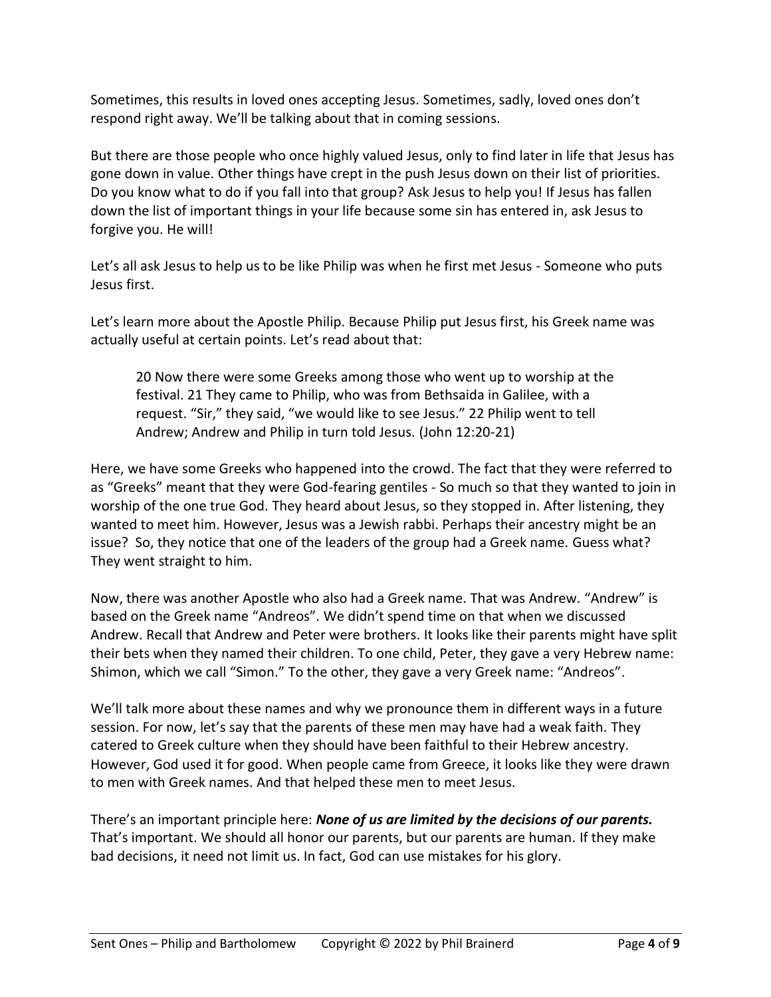Sometimes, this results in loved ones accepting Jesus. Sometimes, sadly, loved ones don't respond right away. We'll be talking about that in coming sessions.

But there are those people who once highly valued Jesus, only to find later in life that Jesus has gone down in value. Other things have crept in the push Jesus down on their list of priorities. Do you know what to do if you fall into that group? Ask Jesus to help you! If Jesus has fallen down the list of important things in your life because some sin has entered in, ask Jesus to forgive you. He will!

Let's all ask Jesus to help us to be like Philip was when he first met Jesus - Someone who puts Jesus first.

Let's learn more about the Apostle Philip. Because Philip put Jesus first, his Greek name was actually useful at certain points. Let's read about that:

20 Now there were some Greeks among those who went up to worship at the festival. 21 They came to Philip, who was from Bethsaida in Galilee, with a request. "Sir," they said, "we would like to see Jesus." 22 Philip went to tell Andrew; Andrew and Philip in turn told Jesus. (John 12:20-21)

Here, we have some Greeks who happened into the crowd. The fact that they were referred to as "Greeks" meant that they were God-fearing gentiles - So much so that they wanted to join in worship of the one true God. They heard about Jesus, so they stopped in. After listening, they wanted to meet him. However, Jesus was a Jewish rabbi. Perhaps their ancestry might be an issue? So, they notice that one of the leaders of the group had a Greek name. Guess what? They went straight to him.

Now, there was another Apostle who also had a Greek name. That was Andrew. "Andrew" is based on the Greek name "Andreos". We didn't spend time on that when we discussed Andrew. Recall that Andrew and Peter were brothers. It looks like their parents might have split their bets when they named their children. To one child, Peter, they gave a very Hebrew name: Shimon, which we call "Simon." To the other, they gave a very Greek name: "Andreos".

We'll talk more about these names and why we pronounce them in different ways in a future session. For now, let's say that the parents of these men may have had a weak faith. They catered to Greek culture when they should have been faithful to their Hebrew ancestry. However, God used it for good. When people came from Greece, it looks like they were drawn to men with Greek names. And that helped these men to meet Jesus.

There's an important principle here: *None of us are limited by the decisions of our parents.* That's important. We should all honor our parents, but our parents are human. If they make bad decisions, it need not limit us. In fact, God can use mistakes for his glory.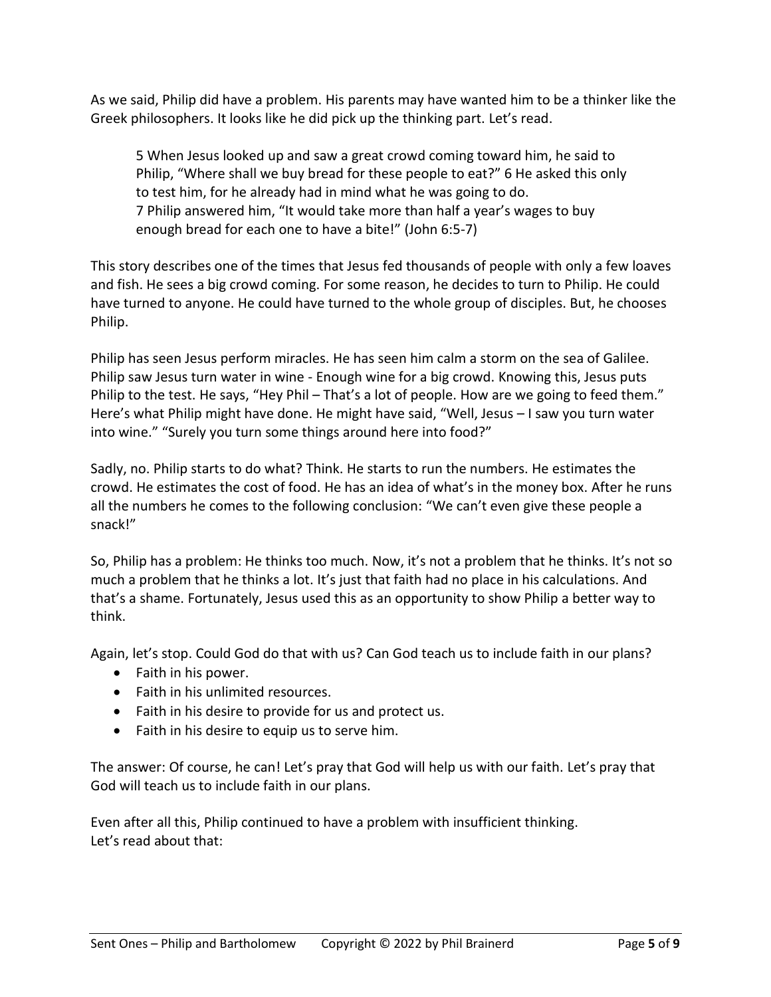As we said, Philip did have a problem. His parents may have wanted him to be a thinker like the Greek philosophers. It looks like he did pick up the thinking part. Let's read.

5 When Jesus looked up and saw a great crowd coming toward him, he said to Philip, "Where shall we buy bread for these people to eat?" 6 He asked this only to test him, for he already had in mind what he was going to do. 7 Philip answered him, "It would take more than half a year's wages to buy enough bread for each one to have a bite!" (John 6:5-7)

This story describes one of the times that Jesus fed thousands of people with only a few loaves and fish. He sees a big crowd coming. For some reason, he decides to turn to Philip. He could have turned to anyone. He could have turned to the whole group of disciples. But, he chooses Philip.

Philip has seen Jesus perform miracles. He has seen him calm a storm on the sea of Galilee. Philip saw Jesus turn water in wine - Enough wine for a big crowd. Knowing this, Jesus puts Philip to the test. He says, "Hey Phil – That's a lot of people. How are we going to feed them." Here's what Philip might have done. He might have said, "Well, Jesus – I saw you turn water into wine." "Surely you turn some things around here into food?"

Sadly, no. Philip starts to do what? Think. He starts to run the numbers. He estimates the crowd. He estimates the cost of food. He has an idea of what's in the money box. After he runs all the numbers he comes to the following conclusion: "We can't even give these people a snack!"

So, Philip has a problem: He thinks too much. Now, it's not a problem that he thinks. It's not so much a problem that he thinks a lot. It's just that faith had no place in his calculations. And that's a shame. Fortunately, Jesus used this as an opportunity to show Philip a better way to think.

Again, let's stop. Could God do that with us? Can God teach us to include faith in our plans?

- Faith in his power.
- Faith in his unlimited resources.
- Faith in his desire to provide for us and protect us.
- Faith in his desire to equip us to serve him.

The answer: Of course, he can! Let's pray that God will help us with our faith. Let's pray that God will teach us to include faith in our plans.

Even after all this, Philip continued to have a problem with insufficient thinking. Let's read about that: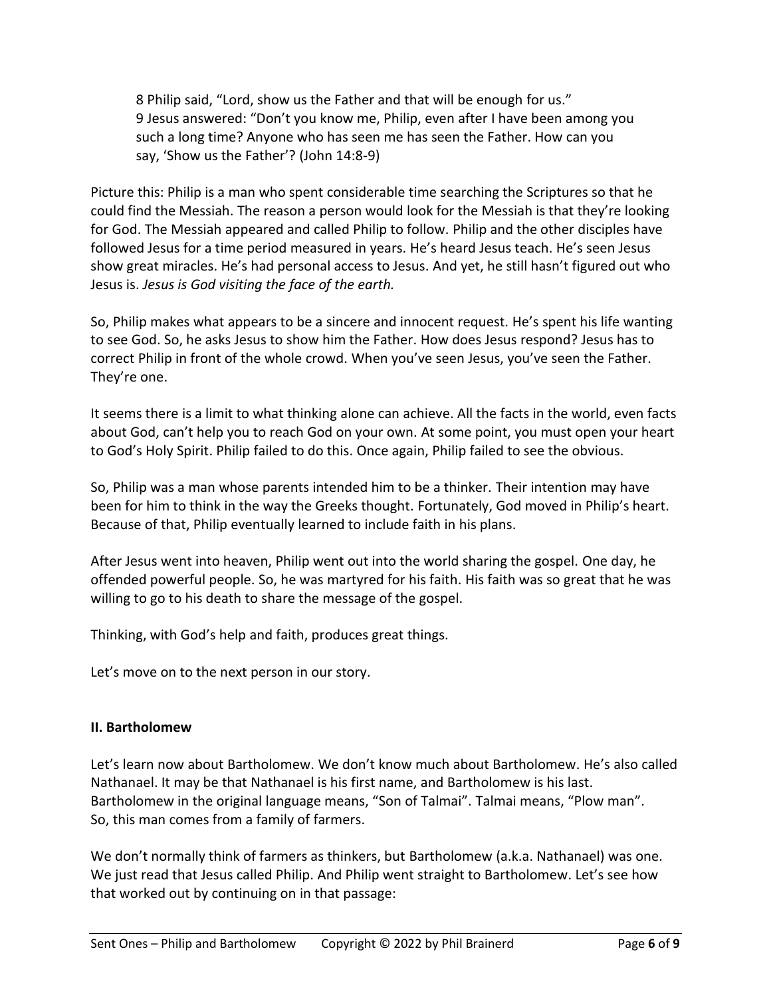8 Philip said, "Lord, show us the Father and that will be enough for us." 9 Jesus answered: "Don't you know me, Philip, even after I have been among you such a long time? Anyone who has seen me has seen the Father. How can you say, 'Show us the Father'? (John 14:8-9)

Picture this: Philip is a man who spent considerable time searching the Scriptures so that he could find the Messiah. The reason a person would look for the Messiah is that they're looking for God. The Messiah appeared and called Philip to follow. Philip and the other disciples have followed Jesus for a time period measured in years. He's heard Jesus teach. He's seen Jesus show great miracles. He's had personal access to Jesus. And yet, he still hasn't figured out who Jesus is. *Jesus is God visiting the face of the earth.*

So, Philip makes what appears to be a sincere and innocent request. He's spent his life wanting to see God. So, he asks Jesus to show him the Father. How does Jesus respond? Jesus has to correct Philip in front of the whole crowd. When you've seen Jesus, you've seen the Father. They're one.

It seems there is a limit to what thinking alone can achieve. All the facts in the world, even facts about God, can't help you to reach God on your own. At some point, you must open your heart to God's Holy Spirit. Philip failed to do this. Once again, Philip failed to see the obvious.

So, Philip was a man whose parents intended him to be a thinker. Their intention may have been for him to think in the way the Greeks thought. Fortunately, God moved in Philip's heart. Because of that, Philip eventually learned to include faith in his plans.

After Jesus went into heaven, Philip went out into the world sharing the gospel. One day, he offended powerful people. So, he was martyred for his faith. His faith was so great that he was willing to go to his death to share the message of the gospel.

Thinking, with God's help and faith, produces great things.

Let's move on to the next person in our story.

## **II. Bartholomew**

Let's learn now about Bartholomew. We don't know much about Bartholomew. He's also called Nathanael. It may be that Nathanael is his first name, and Bartholomew is his last. Bartholomew in the original language means, "Son of Talmai". Talmai means, "Plow man". So, this man comes from a family of farmers.

We don't normally think of farmers as thinkers, but Bartholomew (a.k.a. Nathanael) was one. We just read that Jesus called Philip. And Philip went straight to Bartholomew. Let's see how that worked out by continuing on in that passage: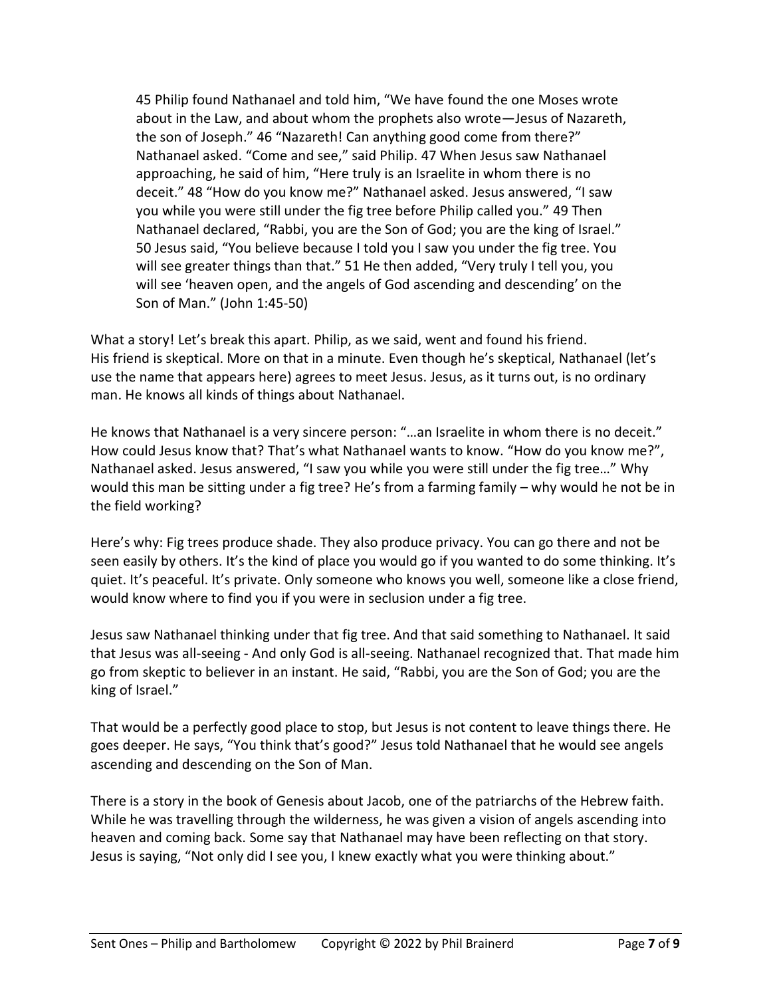45 Philip found Nathanael and told him, "We have found the one Moses wrote about in the Law, and about whom the prophets also wrote—Jesus of Nazareth, the son of Joseph." 46 "Nazareth! Can anything good come from there?" Nathanael asked. "Come and see," said Philip. 47 When Jesus saw Nathanael approaching, he said of him, "Here truly is an Israelite in whom there is no deceit." 48 "How do you know me?" Nathanael asked. Jesus answered, "I saw you while you were still under the fig tree before Philip called you." 49 Then Nathanael declared, "Rabbi, you are the Son of God; you are the king of Israel." 50 Jesus said, "You believe because I told you I saw you under the fig tree. You will see greater things than that." 51 He then added, "Very truly I tell you, you will see 'heaven open, and the angels of God ascending and descending' on the Son of Man." (John 1:45-50)

What a story! Let's break this apart. Philip, as we said, went and found his friend. His friend is skeptical. More on that in a minute. Even though he's skeptical, Nathanael (let's use the name that appears here) agrees to meet Jesus. Jesus, as it turns out, is no ordinary man. He knows all kinds of things about Nathanael.

He knows that Nathanael is a very sincere person: "...an Israelite in whom there is no deceit." How could Jesus know that? That's what Nathanael wants to know. "How do you know me?", Nathanael asked. Jesus answered, "I saw you while you were still under the fig tree…" Why would this man be sitting under a fig tree? He's from a farming family – why would he not be in the field working?

Here's why: Fig trees produce shade. They also produce privacy. You can go there and not be seen easily by others. It's the kind of place you would go if you wanted to do some thinking. It's quiet. It's peaceful. It's private. Only someone who knows you well, someone like a close friend, would know where to find you if you were in seclusion under a fig tree.

Jesus saw Nathanael thinking under that fig tree. And that said something to Nathanael. It said that Jesus was all-seeing - And only God is all-seeing. Nathanael recognized that. That made him go from skeptic to believer in an instant. He said, "Rabbi, you are the Son of God; you are the king of Israel."

That would be a perfectly good place to stop, but Jesus is not content to leave things there. He goes deeper. He says, "You think that's good?" Jesus told Nathanael that he would see angels ascending and descending on the Son of Man.

There is a story in the book of Genesis about Jacob, one of the patriarchs of the Hebrew faith. While he was travelling through the wilderness, he was given a vision of angels ascending into heaven and coming back. Some say that Nathanael may have been reflecting on that story. Jesus is saying, "Not only did I see you, I knew exactly what you were thinking about."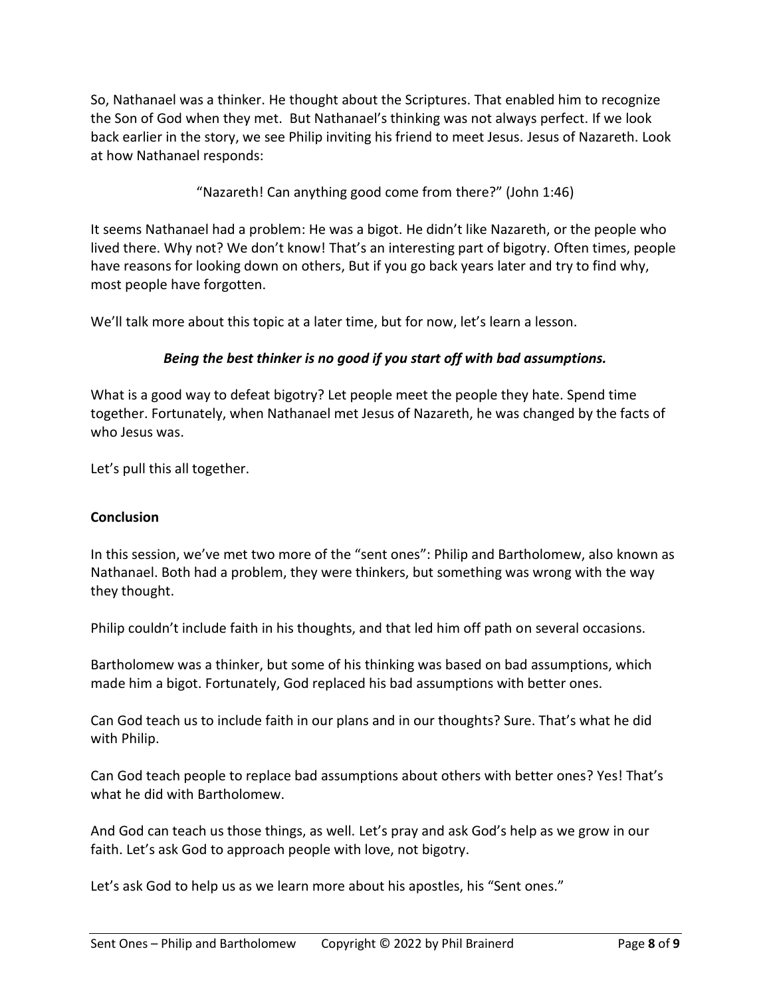So, Nathanael was a thinker. He thought about the Scriptures. That enabled him to recognize the Son of God when they met. But Nathanael's thinking was not always perfect. If we look back earlier in the story, we see Philip inviting his friend to meet Jesus. Jesus of Nazareth. Look at how Nathanael responds:

"Nazareth! Can anything good come from there?" (John 1:46)

It seems Nathanael had a problem: He was a bigot. He didn't like Nazareth, or the people who lived there. Why not? We don't know! That's an interesting part of bigotry. Often times, people have reasons for looking down on others, But if you go back years later and try to find why, most people have forgotten.

We'll talk more about this topic at a later time, but for now, let's learn a lesson.

# *Being the best thinker is no good if you start off with bad assumptions.*

What is a good way to defeat bigotry? Let people meet the people they hate. Spend time together. Fortunately, when Nathanael met Jesus of Nazareth, he was changed by the facts of who Jesus was.

Let's pull this all together.

## **Conclusion**

In this session, we've met two more of the "sent ones": Philip and Bartholomew, also known as Nathanael. Both had a problem, they were thinkers, but something was wrong with the way they thought.

Philip couldn't include faith in his thoughts, and that led him off path on several occasions.

Bartholomew was a thinker, but some of his thinking was based on bad assumptions, which made him a bigot. Fortunately, God replaced his bad assumptions with better ones.

Can God teach us to include faith in our plans and in our thoughts? Sure. That's what he did with Philip.

Can God teach people to replace bad assumptions about others with better ones? Yes! That's what he did with Bartholomew.

And God can teach us those things, as well. Let's pray and ask God's help as we grow in our faith. Let's ask God to approach people with love, not bigotry.

Let's ask God to help us as we learn more about his apostles, his "Sent ones."